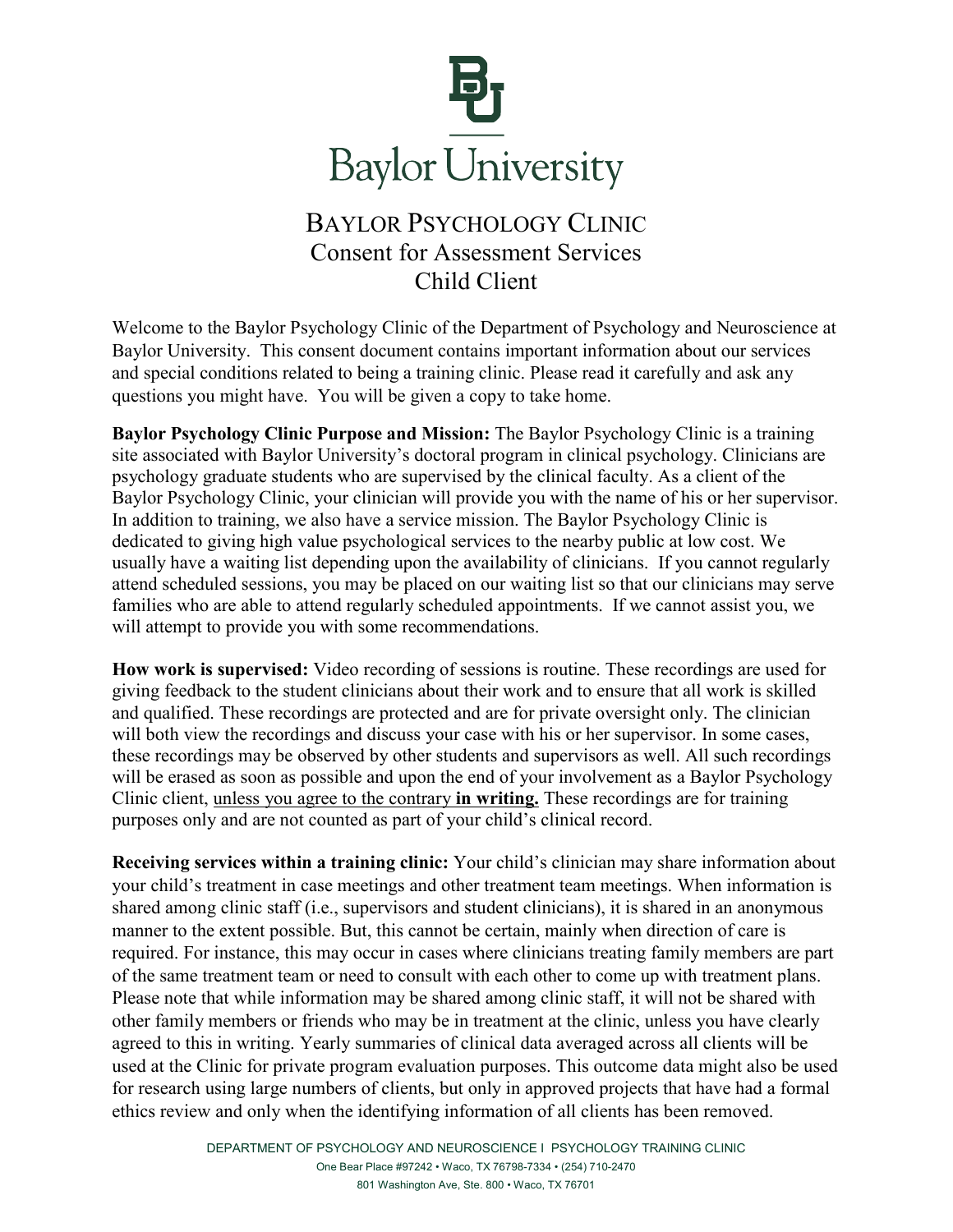

## BAYLOR PSYCHOLOGY CLINIC Consent for Assessment Services Child Client

Welcome to the Baylor Psychology Clinic of the Department of Psychology and Neuroscience at Baylor University. This consent document contains important information about our services and special conditions related to being a training clinic. Please read it carefully and ask any questions you might have. You will be given a copy to take home.

**Baylor Psychology Clinic Purpose and Mission:** The Baylor Psychology Clinic is a training site associated with Baylor University's doctoral program in clinical psychology. Clinicians are psychology graduate students who are supervised by the clinical faculty. As a client of the Baylor Psychology Clinic, your clinician will provide you with the name of his or her supervisor. In addition to training, we also have a service mission. The Baylor Psychology Clinic is dedicated to giving high value psychological services to the nearby public at low cost. We usually have a waiting list depending upon the availability of clinicians. If you cannot regularly attend scheduled sessions, you may be placed on our waiting list so that our clinicians may serve families who are able to attend regularly scheduled appointments. If we cannot assist you, we will attempt to provide you with some recommendations.

**How work is supervised:** Video recording of sessions is routine. These recordings are used for giving feedback to the student clinicians about their work and to ensure that all work is skilled and qualified. These recordings are protected and are for private oversight only. The clinician will both view the recordings and discuss your case with his or her supervisor. In some cases, these recordings may be observed by other students and supervisors as well. All such recordings will be erased as soon as possible and upon the end of your involvement as a Baylor Psychology Clinic client, unless you agree to the contrary **in writing.** These recordings are for training purposes only and are not counted as part of your child's clinical record.

**Receiving services within a training clinic:** Your child's clinician may share information about your child's treatment in case meetings and other treatment team meetings. When information is shared among clinic staff (i.e., supervisors and student clinicians), it is shared in an anonymous manner to the extent possible. But, this cannot be certain, mainly when direction of care is required. For instance, this may occur in cases where clinicians treating family members are part of the same treatment team or need to consult with each other to come up with treatment plans. Please note that while information may be shared among clinic staff, it will not be shared with other family members or friends who may be in treatment at the clinic, unless you have clearly agreed to this in writing. Yearly summaries of clinical data averaged across all clients will be used at the Clinic for private program evaluation purposes. This outcome data might also be used for research using large numbers of clients, but only in approved projects that have had a formal ethics review and only when the identifying information of all clients has been removed.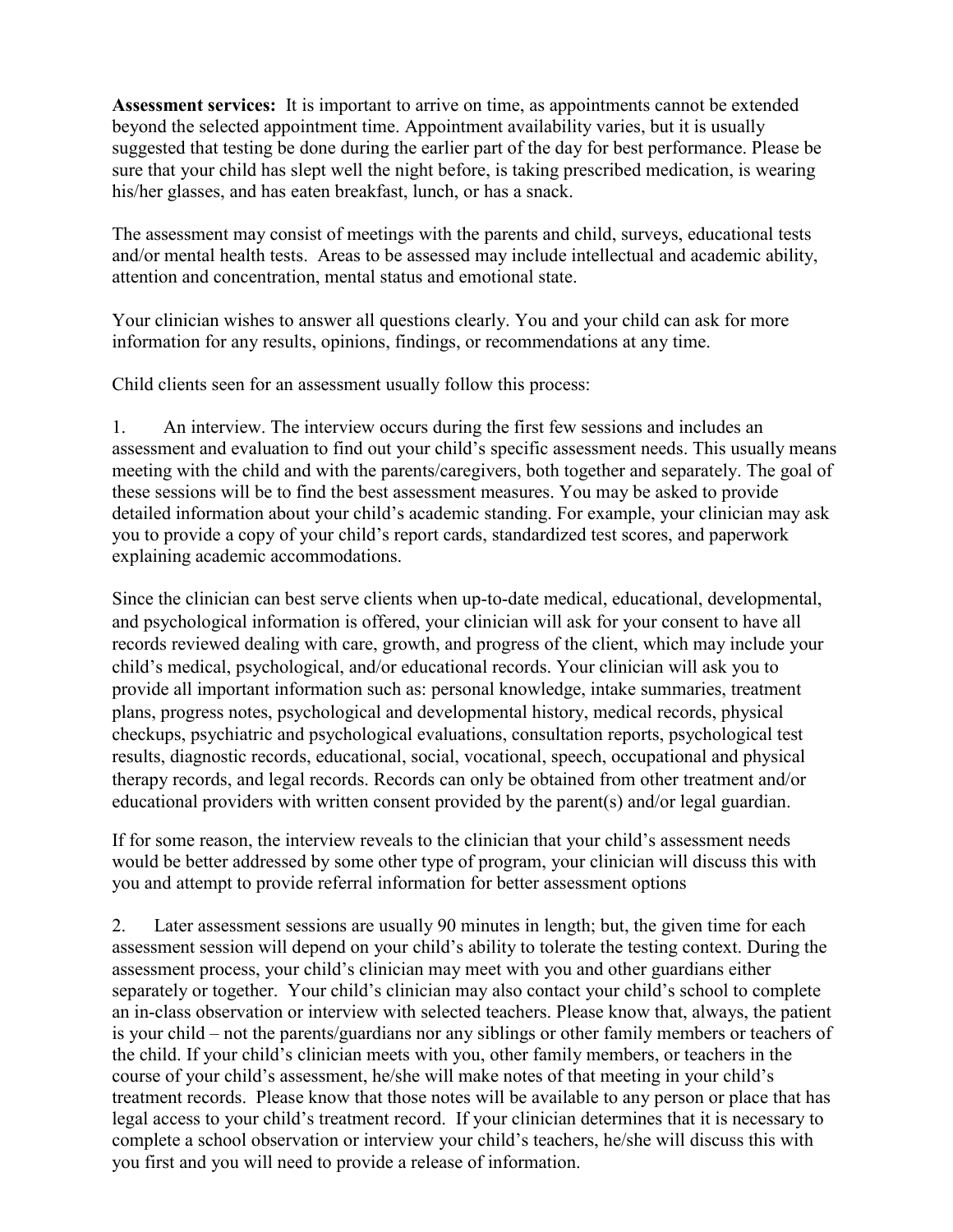**Assessment services:** It is important to arrive on time, as appointments cannot be extended beyond the selected appointment time. Appointment availability varies, but it is usually suggested that testing be done during the earlier part of the day for best performance. Please be sure that your child has slept well the night before, is taking prescribed medication, is wearing his/her glasses, and has eaten breakfast, lunch, or has a snack.

The assessment may consist of meetings with the parents and child, surveys, educational tests and/or mental health tests. Areas to be assessed may include intellectual and academic ability, attention and concentration, mental status and emotional state.

Your clinician wishes to answer all questions clearly. You and your child can ask for more information for any results, opinions, findings, or recommendations at any time.

Child clients seen for an assessment usually follow this process:

1. An interview. The interview occurs during the first few sessions and includes an assessment and evaluation to find out your child's specific assessment needs. This usually means meeting with the child and with the parents/caregivers, both together and separately. The goal of these sessions will be to find the best assessment measures. You may be asked to provide detailed information about your child's academic standing. For example, your clinician may ask you to provide a copy of your child's report cards, standardized test scores, and paperwork explaining academic accommodations.

Since the clinician can best serve clients when up-to-date medical, educational, developmental, and psychological information is offered, your clinician will ask for your consent to have all records reviewed dealing with care, growth, and progress of the client, which may include your child's medical, psychological, and/or educational records. Your clinician will ask you to provide all important information such as: personal knowledge, intake summaries, treatment plans, progress notes, psychological and developmental history, medical records, physical checkups, psychiatric and psychological evaluations, consultation reports, psychological test results, diagnostic records, educational, social, vocational, speech, occupational and physical therapy records, and legal records. Records can only be obtained from other treatment and/or educational providers with written consent provided by the parent(s) and/or legal guardian.

If for some reason, the interview reveals to the clinician that your child's assessment needs would be better addressed by some other type of program, your clinician will discuss this with you and attempt to provide referral information for better assessment options

2. Later assessment sessions are usually 90 minutes in length; but, the given time for each assessment session will depend on your child's ability to tolerate the testing context. During the assessment process, your child's clinician may meet with you and other guardians either separately or together. Your child's clinician may also contact your child's school to complete an in-class observation or interview with selected teachers. Please know that, always, the patient is your child – not the parents/guardians nor any siblings or other family members or teachers of the child. If your child's clinician meets with you, other family members, or teachers in the course of your child's assessment, he/she will make notes of that meeting in your child's treatment records. Please know that those notes will be available to any person or place that has legal access to your child's treatment record. If your clinician determines that it is necessary to complete a school observation or interview your child's teachers, he/she will discuss this with you first and you will need to provide a release of information.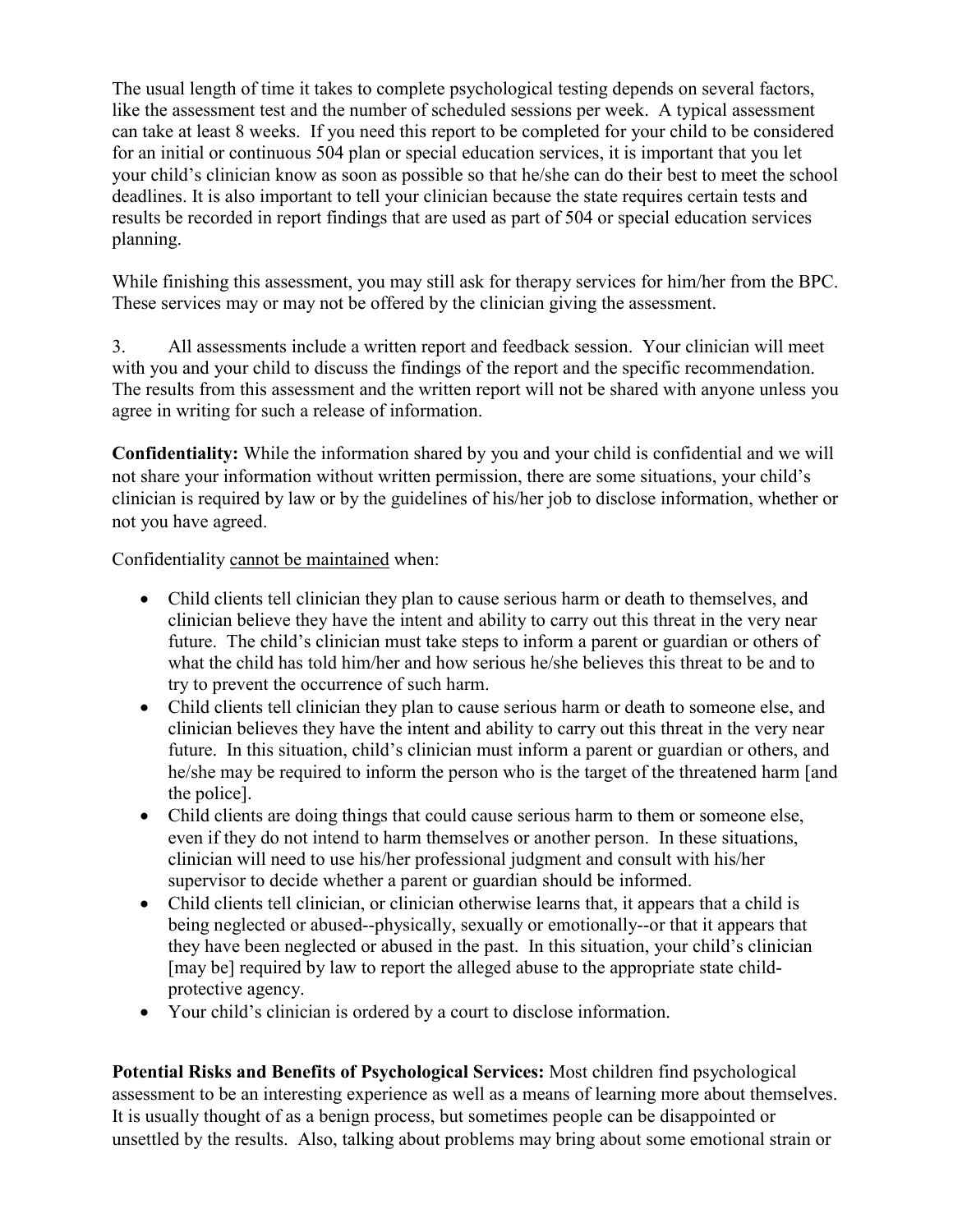The usual length of time it takes to complete psychological testing depends on several factors, like the assessment test and the number of scheduled sessions per week. A typical assessment can take at least 8 weeks. If you need this report to be completed for your child to be considered for an initial or continuous 504 plan or special education services, it is important that you let your child's clinician know as soon as possible so that he/she can do their best to meet the school deadlines. It is also important to tell your clinician because the state requires certain tests and results be recorded in report findings that are used as part of 504 or special education services planning.

While finishing this assessment, you may still ask for therapy services for him/her from the BPC. These services may or may not be offered by the clinician giving the assessment.

3. All assessments include a written report and feedback session. Your clinician will meet with you and your child to discuss the findings of the report and the specific recommendation. The results from this assessment and the written report will not be shared with anyone unless you agree in writing for such a release of information.

**Confidentiality:** While the information shared by you and your child is confidential and we will not share your information without written permission, there are some situations, your child's clinician is required by law or by the guidelines of his/her job to disclose information, whether or not you have agreed.

Confidentiality cannot be maintained when:

- Child clients tell clinician they plan to cause serious harm or death to themselves, and clinician believe they have the intent and ability to carry out this threat in the very near future. The child's clinician must take steps to inform a parent or guardian or others of what the child has told him/her and how serious he/she believes this threat to be and to try to prevent the occurrence of such harm.
- Child clients tell clinician they plan to cause serious harm or death to someone else, and clinician believes they have the intent and ability to carry out this threat in the very near future. In this situation, child's clinician must inform a parent or guardian or others, and he/she may be required to inform the person who is the target of the threatened harm [and the police].
- Child clients are doing things that could cause serious harm to them or someone else, even if they do not intend to harm themselves or another person. In these situations, clinician will need to use his/her professional judgment and consult with his/her supervisor to decide whether a parent or guardian should be informed.
- Child clients tell clinician, or clinician otherwise learns that, it appears that a child is being neglected or abused--physically, sexually or emotionally--or that it appears that they have been neglected or abused in the past. In this situation, your child's clinician [may be] required by law to report the alleged abuse to the appropriate state childprotective agency.
- Your child's clinician is ordered by a court to disclose information.

**Potential Risks and Benefits of Psychological Services:** Most children find psychological assessment to be an interesting experience as well as a means of learning more about themselves. It is usually thought of as a benign process, but sometimes people can be disappointed or unsettled by the results. Also, talking about problems may bring about some emotional strain or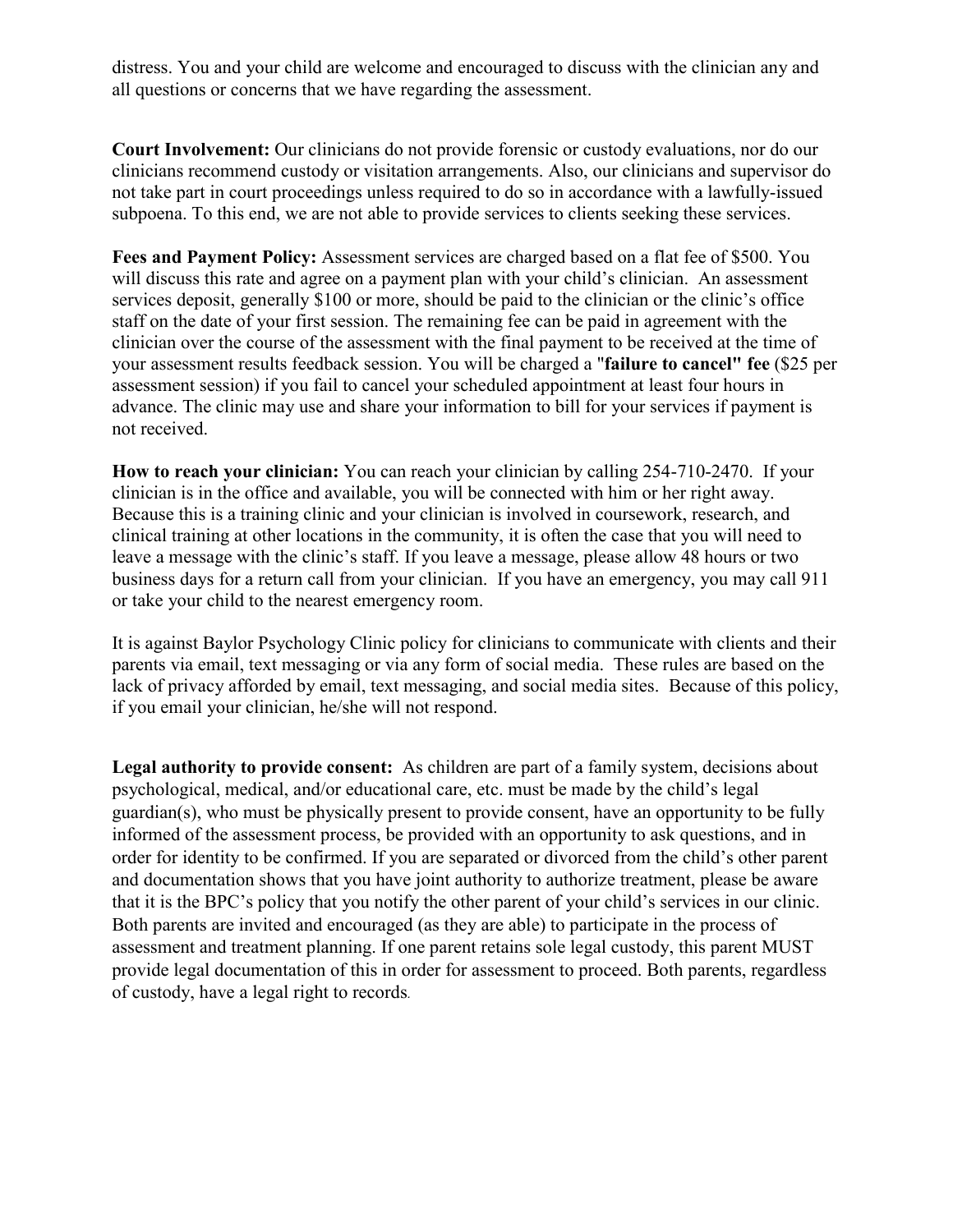distress. You and your child are welcome and encouraged to discuss with the clinician any and all questions or concerns that we have regarding the assessment.

**Court Involvement:** Our clinicians do not provide forensic or custody evaluations, nor do our clinicians recommend custody or visitation arrangements. Also, our clinicians and supervisor do not take part in court proceedings unless required to do so in accordance with a lawfully-issued subpoena. To this end, we are not able to provide services to clients seeking these services.

Fees and Payment Policy: Assessment services are charged based on a flat fee of \$500. You will discuss this rate and agree on a payment plan with your child's clinician. An assessment services deposit, generally \$100 or more, should be paid to the clinician or the clinic's office staff on the date of your first session. The remaining fee can be paid in agreement with the clinician over the course of the assessment with the final payment to be received at the time of your assessment results feedback session. You will be charged a "**failure to cancel" fee** (\$25 per assessment session) if you fail to cancel your scheduled appointment at least four hours in advance. The clinic may use and share your information to bill for your services if payment is not received.

**How to reach your clinician:** You can reach your clinician by calling 254-710-2470. If your clinician is in the office and available, you will be connected with him or her right away. Because this is a training clinic and your clinician is involved in coursework, research, and clinical training at other locations in the community, it is often the case that you will need to leave a message with the clinic's staff. If you leave a message, please allow 48 hours or two business days for a return call from your clinician. If you have an emergency, you may call 911 or take your child to the nearest emergency room.

It is against Baylor Psychology Clinic policy for clinicians to communicate with clients and their parents via email, text messaging or via any form of social media. These rules are based on the lack of privacy afforded by email, text messaging, and social media sites. Because of this policy, if you email your clinician, he/she will not respond.

**Legal authority to provide consent:** As children are part of a family system, decisions about psychological, medical, and/or educational care, etc. must be made by the child's legal guardian(s), who must be physically present to provide consent, have an opportunity to be fully informed of the assessment process, be provided with an opportunity to ask questions, and in order for identity to be confirmed. If you are separated or divorced from the child's other parent and documentation shows that you have joint authority to authorize treatment, please be aware that it is the BPC's policy that you notify the other parent of your child's services in our clinic. Both parents are invited and encouraged (as they are able) to participate in the process of assessment and treatment planning. If one parent retains sole legal custody, this parent MUST provide legal documentation of this in order for assessment to proceed. Both parents, regardless of custody, have a legal right to records*.*